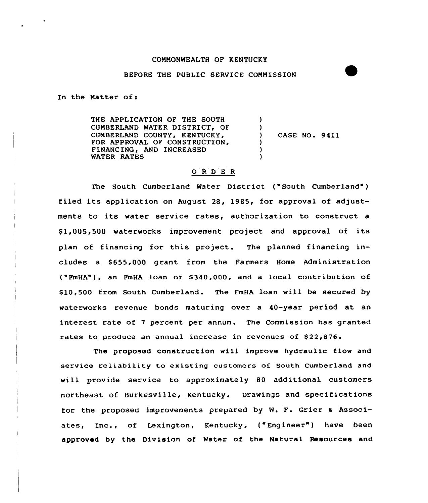### COMMONWEALTH OF KENTUCKY

### BEFORE THE PUBLIC SERVICE COMMISSION

In the Matter of:

THE APPLICATION OF THE SOUTH CUMBERLAND WATER DISTRICT, OF CUMBERLAND COUNTY, KENTUCKY, APPROVAL OF CONSTRUCTION FINANCING, AND INCREASED WATER RATES )  $\left\{ \right.$ ) ) CASE NO~ 9411  $\lambda$ ) )

## 0 <sup>R</sup> <sup>D</sup> E <sup>R</sup>

The South Cumberland Water District ("South Cumberland") filed its application on August 28, 1985, for approval of adjustments to its water service rates, authorization to construct a \$ 1,005,500 waterworks improvement project and approval of its plan of financing for this project. The planned financing includes a \$ 655,000 grant from the Farmers Home Administration ("FmHA"), an FmHA loan of \$ 340,000, and a local contribution of \$ 10,500 from South Cumberland. The FmHA loan will be secured by waterworks revenue bonds maturing over a 40-year period at an interest rate of <sup>7</sup> percent per annum. The Commission has granted rates to produce an annual increase in revenues of \$22,876.

The proposed construction will improve hydraulic flow and service reliability to existing customers of South Cumberland and will provide service to approximately 80 additional customers northeast of Burkesville, Kentucky. Drawings and specifications for the proposed improvements prepared by W. F. Grier <sup>6</sup> Associates, Inc., of Lexington, Kentucky, ("Engineer") have been approved by the Division of Water of the Natural Resources and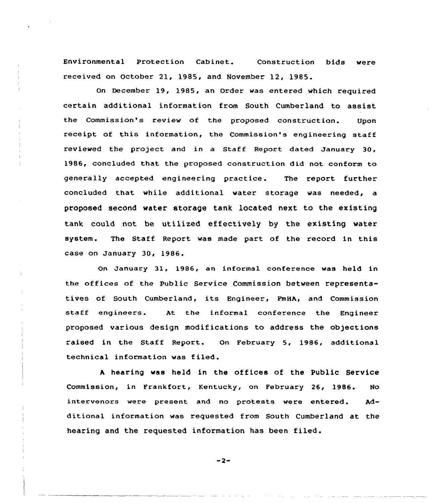Environmental Protection Cabinet. Construction bids were received on October 21, 1985, and November 12, 1985.

On December 19, 1985, an Order was entered which required certain additional information from South Cumberland to assist the Commission's review of the proposed construction. Upon receipt of this information, the Commission's engineering staff reviewed the project and in a Staff Report dated January 30, 1986, concluded that the proposed construction did not conform to generally accepted engineering practice. The report further concluded that while additional water storage was needed, a proposed second water storage tank located next to the existing tank could not be utilized effectively by the existing water system. The Staff Report was made part of the record in this case on January 30, 1986.

On January 31, 1986, an informal conference was held in the offices of the public Service Commission between representatives of South Cumberland, its Engineer, FmHA, and Commission staff engineers. At the informal conference the Engineer proposed various design modifications to address the objections raised in the Staff Report. On February 5, 1986, additional technical information was filed.

<sup>A</sup> hearing was held in the offices of the public Service Commission, in Frankfort, Kentucky, on February 26, 1986. No intervenors were present and no protests were entered. Additional information was requested from South Cumberland at the hearing and the requested information has been filed.

 $-2-$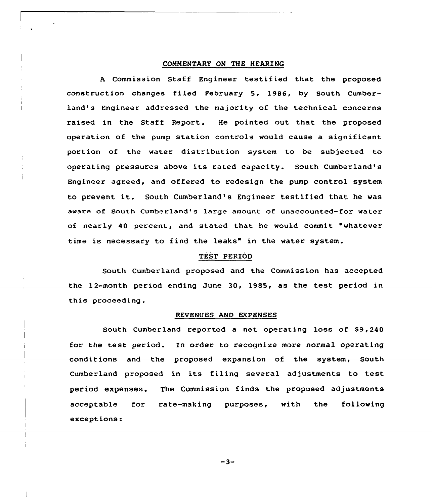### COMMENTARY ON THE HEARING

<sup>A</sup> Commission Staff Engineer testified that the proposed construction changes filed February  $5$ , 1986, by South Cumberland's Engineer addressed the majority of the technical concerns raised in the Staff Report. He pointed out that the proposed operation of the pump station controls would cause a significant portion of the water distribution system to be subjected to operating pressures above its rated capacity. South Cumberland's Engineer agreed, and offered to redesign the pump control system to prevent it. South Cumberland's Engineer testified that he was aware of South Cumberland's large amount of unaccounted-for water of nearly 40 percent, and stated that he would commit "whatever time is necessary to find the leaks" in the water system.

#### TEST PERIOD

South Cumberland proposed and the Commission has accepted the 12-month period ending June 30, 1985, as the test period in this proceeding .

#### REVENUES AND EXPENSES

South Cumberland reported a net operating loss of \$9,240 for the test period. In order to recognize more normal operating conditions and the proposed expansion of the system, South Cumberland proposed in its filing several adjustments to test period expenses. The Commission finds the proposed adjustments acceptable for rate-making purposes, with the following exceptions:

 $-3-$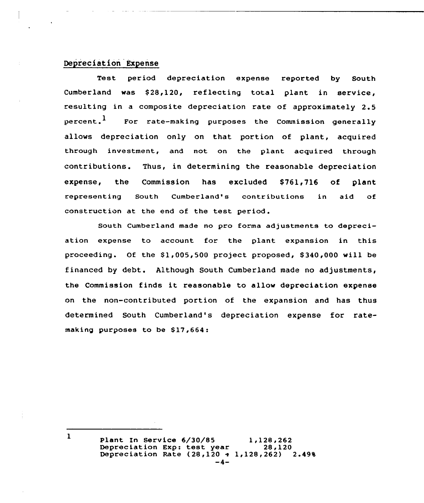## Depreciation Expense

Test period depreciation expense reported by South Cumberland was \$28,120, reflecting total plant in service, resulting in a composite depreciation rate of approximately 2.5  $percent<sup>1</sup>$  For rate-making purposes the Commission generally allows depreciation only on that portion of plant, acquired through investment, and not on the plant acquired through contributions. Thus, in determining the reasonable depreciation expense, the Commission has excluded \$761,716 of plant representing South Cumberland's contributions in aid of construction at the end of the test period.

South Cumberland made no pro forma adjustments to depreciation expense to account for the plant expansion in this proceeding. Of the  $$1,005,500$  project proposed,  $$340,000$  will be financed by debt. Although South Cumberland made no adjustments, the Commission finds it reasonable to allow depreciation expense on the non-contributed portion of the expansion and has thus determined South Cumberland's depreciation expense for ratemaking purposes to be \$17,664:

> Plant In Service 6/30/85 1,128,262<br>Depreciation Exp: test year 28,120<br>Depreciation Pate (2012) Depreciation Rate  $(28,120 + 1,128,262)$  2.49%

 $\mathbf{1}$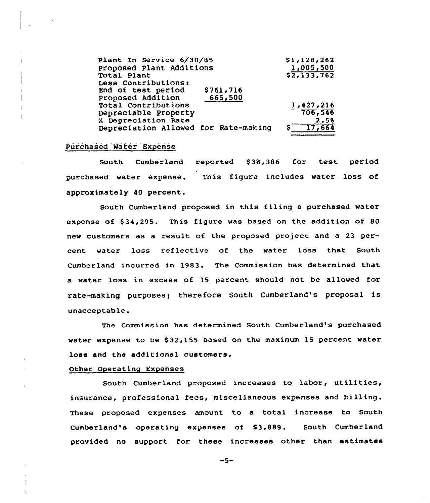| Plant In Service 6/30/85             | \$1,128,262 |
|--------------------------------------|-------------|
| Proposed Plant Additions             | 1,005,500   |
| Total Plant                          | \$2,133,762 |
| Less Contributions:                  |             |
| End of test period<br>\$761,716      |             |
| 665,500<br>Proposed Addition         |             |
| Total Contributions                  | 1,427,216   |
| Depreciable Property                 | 706,546     |
| X Depreciation Rate                  | 2.5%        |
| Depreciation Allowed for Rate-making | 17,664      |

## Purchased Water Expense

South Cumberland reported \$38,386 for test period purchased water expense. This figure includes water loss of approximately 40 percent.

South Cumberland proposed in this filing a purchased water expense of \$34,295. This figure was based on the addition of 80 new customers as a result of the proposed project and a 23 percent water loss reflective of the water loss that South Cumberland incurred in 1983. The Commission has determined that a water loss in excess of 15 percent should not be allowed for rate-making purposes; therefore South Cumberland's proposal is unacceptable.

The Commission has determined South Cumberland's purchased water expense to be \$32,155 based on the maximum 15 percent water loss and the additional customers.

#### Other Operating Expenses

South Cumberland proposed increases to labor, utilities, insurance, professional fees, miscellaneous expenses and billing. These proposed expenses amount to a total increase to South Cumberland's operating expenses of \$3,889. South Cumberland provided no support for these increases other than estimates

 $-5-$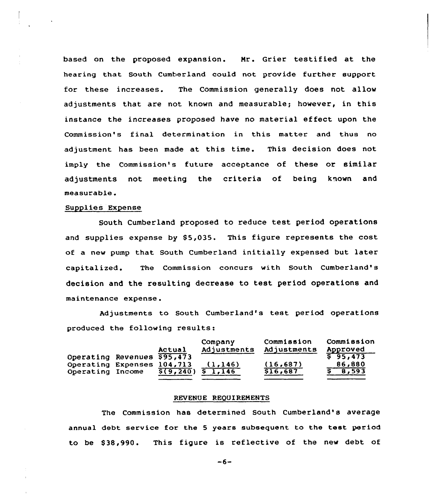based on the proposed expansion. Mr. Grier testified at the hearing that South Cumberland could not provide further support for these increases. The Commission generally does not allow adjustments that are not known and measurable; however, in this instance the increases proposed have no material effect upon the Commission's final determination in this matter and thus no adjustment has been made at this time. This decision does not imply the Commission's future acceptance of these or similar adjustments not meeting the criteria of being known and measurab1e.

## Supplies Expense

South Cumberland proposed to reduce test period operations and supplies expense by  $$5,035$ . This figure represents the cost of a new pump that South Cumberland initially expensed but later capitalized. The Commission concurs with South Cumberland's decision and the resulting decrease to test period operations and maintenance expense.

Adjustments to South Cumberland's test period operations produced the following results:

|                             | Actual         | Company<br>Adjustments | Commission<br>Adjustments | Commission<br>Approved |
|-----------------------------|----------------|------------------------|---------------------------|------------------------|
| Operating Revenues \$95,473 |                |                        |                           | $S$ 95,473             |
| Operating Expenses 104,713  |                | (1, 146)               | (16, 687)                 | 86,880                 |
| Operating Income            | $\sqrt{9,240}$ | 51,146                 | \$16,687                  | \$ 8,593               |

#### REVENUE REQUIREMENTS

The Commission has determined South Cumberland's average annual debt service for the <sup>5</sup> years subsequent to the test period to be \$38,990. This figure is reflective of the new debt of

 $-6-$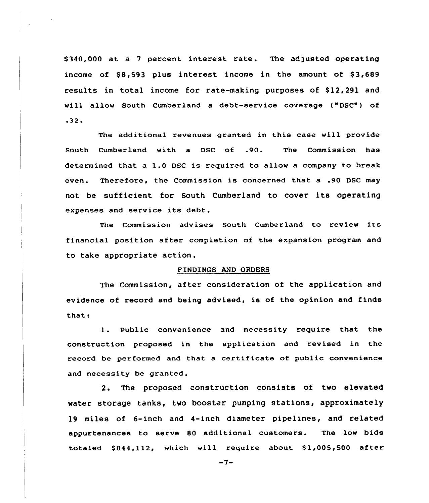\$340,000 at a 7 percent interest rate. The adjusted operating income of  $$8,593$  plus interest income in the amount of  $$3,689$ results in total income for rate-making purposes of \$12,291 and will allow South Cumberland a debt-service coverage ("DSC") of  $.32.$ 

The additional revenues granted in this case will provide South Cumberland with <sup>a</sup> DSC of .90. The Commission has determined that a 1.0 DSC is required to allow <sup>a</sup> company to break even. Therefore, the Commission is concerned that a .90 DSC may not be sufficient for South Cumberland to cover its operating expenses and service its debt.

The Commission advises South Cumberland to review its financial position after completion of the expansion program and to take appropriate action.

## FINDINGS AND ORDERS

The Commission, after consideration of the application and evidence of record and being advised, is of the opinion and finds that:

1. Public convenience and necessity require that the construction proposed in the application and revised in the record be performed and that a certificate of public convenience and necessity be granted.

2. The proposed construction consists of two elevated water storage tanks, two booster pumping stations, approximately 19 miles of 6-inch and 4-inch diameter pipelines, and related appurtenances to serve &0 additional customers. The low bids totaled  $$844,112$ , which will require about  $$1,005,500$  after

 $-7-$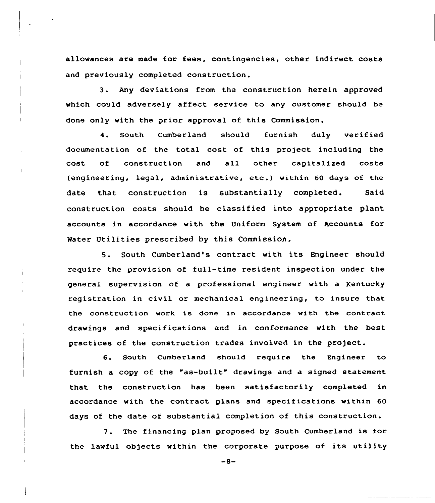allowances are made for fees, contingencies, other indirect costs and previously completed construction.

3. Any deviations from the construction herein approved which could adversely affect service to any customer should be done only with the prior approval of this Commission.

4. South Cumberland should furnish duly verifie documentation of the total cost of this project including the cost of construction and all other capitalized costs (engineering, legal, administrative, etc.) within <sup>60</sup> days of the date that construction is substantially completed. Said construction costs should be classified into appropriate plant accounts in accordance with the Uniform System of Accounts for Mater Utilities prescribed by this Commission.

5. South Cumberland's contract with its Engineer should require the provision of full-time resident inspection under the general supervision of a professional engineer with a Kentucky registration in civil or mechanical engineering, to insure that the construction work is done in accordance with the contract drawings and specifications and in conformance with the best practices of the construction trades involved in the project.

6. South Cumberland should require the Engineer to furnish a copy of the "as-built" drawings and a signed statement that the construction has been satisfactorily completed in accordance with the contract plans and specifications within 60 days of the date of substantial completion of this construction.

7. The financing plan proposed by South Cumberland is for the lawful objects within the corporate purpose of its utility

 $-8-$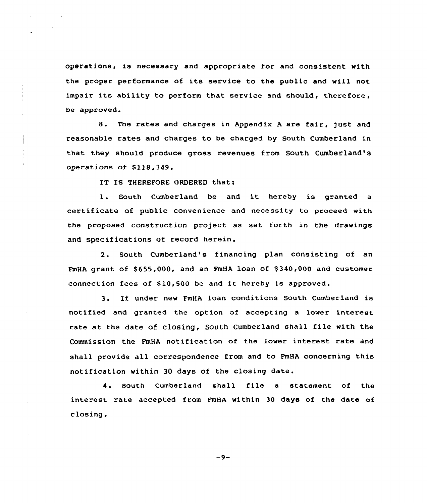operations, is necessary and appropriate for and consistent with the proper performance of its service to the public and will not impair its ability to perform that service and should, therefore, be approved.

8. The rates and charges in Appendix <sup>A</sup> are fair, just and reasonable rates and charges to be charged by South Cumberland in that they should produce gross revenues from South Cumberland's operations of \$118,349.

IT IS THEREFORE ORDERED that:

 $\mathcal{L}^{\pm}$  and  $\mathcal{L}^{\pm}$  and  $\mathcal{L}^{\pm}$ 

1. South Cumberland be and it hereby is granted <sup>a</sup> certificate of public convenience and necessity to proceed with the proposed construction project as set forth in the drawings and specifications of record herein.

2. South Cumberland's financing plan consisting of an FmHA grant of \$655,000, and an FmHA loan of \$340,000 and customer connection fees of \$10,500 be and it hereby is approved.

3. If under new FmHA loan conditions South Cumberland is notified and granted the option of accepting a lower interest rate at the date of closing, South Cumberland shall file with the Commission the FmHA notification of the lower interest rate and shall provide all correspondence from and to FmHA concerning this notification within 30 days of the closing date.

4. South Cumberland shall file a statement of the interest rate accepted from FmHA within 30 days of the date of closing.

 $-9-$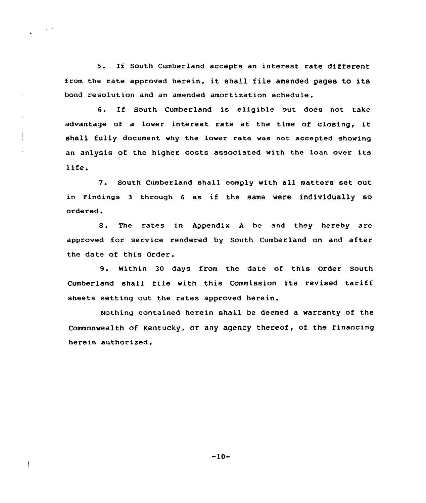5. If South Cumberland accepts an interest rate different from the rate approved herein, it shall file amended pages to its bond resolution and an amended amortization schedule.

6. If South Cumberland is eligible but does not take advantage of <sup>a</sup> lower interest rate at the time of closing, it shall fully document why the lower rate was not accepted showing an anlysis of the higher costs associated with the loan over its life.

7. South Cumberland shall comply with all matters set out, in Findings <sup>3</sup> through <sup>6</sup> as if the same were individually so ordered .

8. The rates in Appendix <sup>A</sup> be and they hereby are approved for service rendered by South Cumberland on and after the date of this Order.

9. Within <sup>30</sup> days from the date of this Order South Cumberland shall file with this Commission its revised tariff sheets setting out the rates approved herein.

Nothing contained herein shall be deemed a warranty of the Commonwealth of Kentucky, or any agency thereof, of the financing herein authorized.

 $-10-$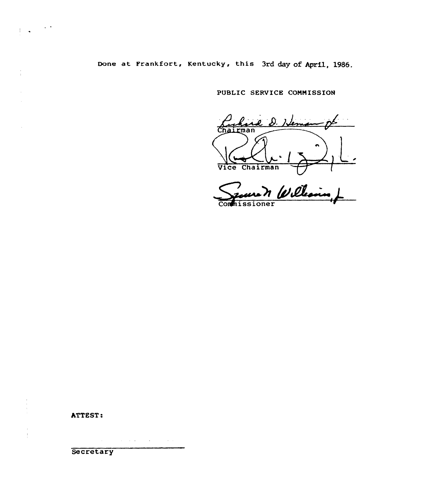Done at Frankfort, Kentucky, this 3rd day of April, 1986.

PUBLIC SERVICE CONHISSION

D. Herman rman Verfle. 1 .)-E

(

**Commissioner** 

ATTEST:

 $\bar{1}$  $\frac{1}{2}$ 

 $\begin{pmatrix} 1 & 1 & 1 \\ 1 & 1 & 1 \end{pmatrix}$ 

 $\frac{\epsilon}{4}$ 

 $\hat{\boldsymbol{\theta}}$ 

 $\sim$ 

**Secretary** 

 $\mathcal{A}$  is a set of  $\mathcal{A}$  . In the set of the set of  $\mathcal{A}$